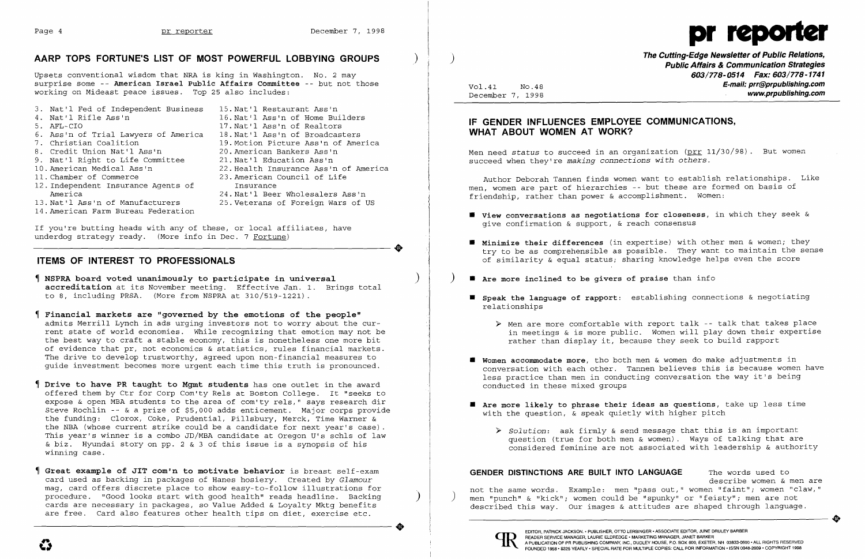

# **AARP TOPS FORTUNE'S LIST OF MOST POWERFUL LOBBYING GROUPS** )

Upsets conventional wisdom that NRA is king in Washington. No. 2 may surprise some -- **American Israel Public Affairs Committee** -- but not those working on Mideast peace issues. Top 25 also includes:

- 3. Nat'l Fed of Independent Business 15.Nat'l Restaurant Ass'n<br>4. Nat'l Rifle Ass'n 16.Nat'l Ass'n of Home Bui 4. Nat'l Rifle Ass'n l6.Nat'1 Ass'n of Home Builders 17. Nat'l Ass'n of Realtors<br>18. Nat'l Ass'n of Broadcasters 6. Ass'n of Trial Lawyers of America<br>7. Christian Coalition 19. Motion Picture Ass'n of America<br>20. American Bankers Ass'n 8. Credit Union Nat'l Ass'n 20. American Bankers Ass'n<br>9. Nat'l Right to Life Committee 21. Nat'l Education Ass'n 9. Nat'l Right to Life Committee<br>10.American Medical Ass'n 10. American Medical Ass'n 22. Health Insurance Ass'n of America 23. American Council of Life<br>Insurance
- 12. Independent Insurance Agents of<br>America America<br>24. Nat'l Beer Wholesalers Ass'n<br>25. Veterans of Foreign Wars of I
- 
- 14. American Farm Bureau Federation

If you're butting heads with any of these, or local affiliates, have underdog strategy ready. (More info in Dec. 7 Fortune)

..

# **ITEMS OF INTEREST TO PROFESSIONALS**

Men need *status* to succeed in an organization (prr 11/30/98). But women succeed when they're *making connections with others.* 

- **NSPRA board voted unanimously to participate in universal** ) **accreditation** at its November meeting. Effective Jan. 1. Brings total to 8, including PRSA. (More from NSPRA at 310/519-1221) .
- **Financial markets are "governed by the emotions of the people"**  admits Merrill Lynch in ads urging investors not to worry about the cur rent state of world economies. While recognizing that emotion may not be the best way to craft a stable economy, this is nonetheless one more bit of evidence that pr, not economics & statistics, rules financial markets. The drive to develop trustworthy, agreed upon non-financial measures to guide investment becomes more urgent each time this truth is pronounced.
- **Drive to have PR taught to Mgmt students** has one outlet in the award offered them by Ctr for Corp Com'ty Rels at Boston College. It "seeks to expose & open MBA students to the area of com'ty rels," says research dir Steve Rochlin -- & a prize of \$5,000 adds enticement. Major corps provide the funding: Clorox, Coke, Prudential, Pillsbury, Merck, Time Warner & the NBA (whose current strike could be a candidate for next year's case). This year's winner is a combo JD/MBA candidate at Oregon U's schls of law & biz. Hyundai story on pp. 2 & 3 of this issue is a synopsis of his winning case.
- **Great example of JIT com'n to motivate behavior** is breast self-exam card used as backing in packages of Hanes hosiery. Created by *Glamour*  mag, card offers discrete place to show easy-to-follow illustrations for procedure. "Good looks start with good health" reads headline. Backing ) cards are necessary in packages, so Value Added & Loyalty Mktg benefits are free. Card also features other health tips on diet, exercise etc.

December 7, 1998

..

25. Veterans of Foreign Wars of US

**The Cutting-Edge Newsletter of Public Relations,** ) **Public Affairs & Communication Strategies 603/778-0514 Fax: 603/778-1741**  Vol.41 NO.48 **E-mail: prr@prpublishing.com** 

# **IF GENDER INFLUENCES EMPLOYEE COMMUNICATIONS, WHAT ABOUT WOMEN AT WORK?**

Author Deborah Tannen finds women want to establish relationships. Like men, women are part of hierarchies -- but these are formed on basis of friendship, rather than power & accomplishment. Women:

try to be as comprehensible as possible. They want to maintain the sense of similarity & equal status; sharing knowledge helps even the score

- **• View conversations as negotiations for closeness,** in which they seek & give confirmation & support, & reach consensus
- **• Minimize their differences** (in expertise) with other men & women; they
- )  **Are more inclined to be givers of praise** than info
	- **• Speak the language of rapport:** establishing connections & negotiating relationships
		-
	- **• Women accommodate more,** tho both men & women do make adjustments in conducted in these mixed groups
	- $\blacksquare$  Are more likely to phrase their ideas as questions, take up less time with the question, & speak quietly with higher pitch
		-

 Men are more comfortable with report talk -- talk that takes place in meetings & is more public. Women will play down their expertise rather than display it, because they seek to build rapport

conversation with each other. Tannen believes this is because women have less practice than men in conducting conversation the way it's being

 *Solution:* ask firmly & send message that this is an important question (true for both men & women). Ways of talking that are considered feminine are not associated with leadership & authority

**GENDER DISTINCTIONS ARE BUILT INTO LANGUAGE** The words used to describe women & men are<br>" not the same words. Example: men "pass out," women "faint"; women "claw, men "punch" & "kick"; women could be "spunky" or "feisty"; men are not described this way. Our images & attitudes are shaped through language.



..